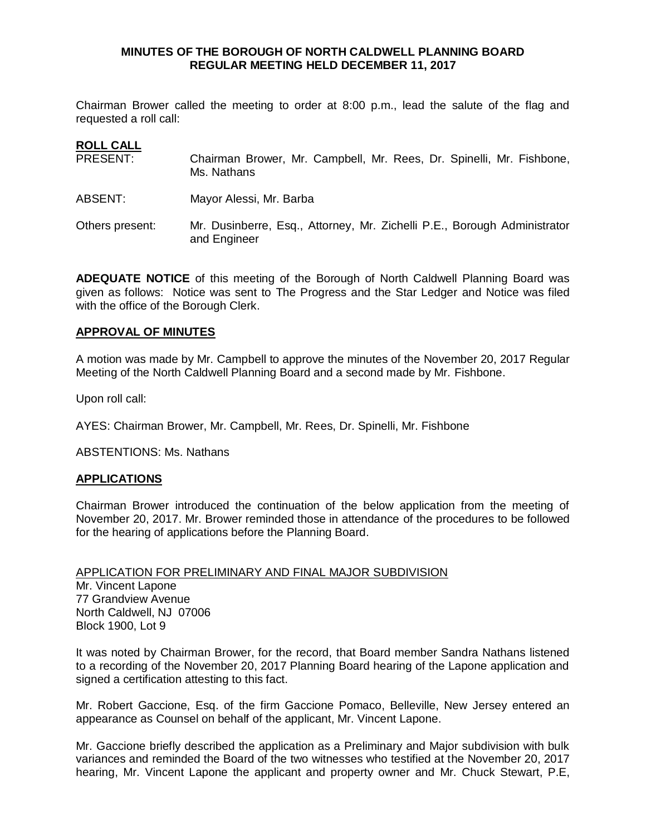## **MINUTES OF THE BOROUGH OF NORTH CALDWELL PLANNING BOARD REGULAR MEETING HELD DECEMBER 11, 2017**

Chairman Brower called the meeting to order at 8:00 p.m., lead the salute of the flag and requested a roll call:

# **ROLL CALL**

| PRESENT:        | Chairman Brower, Mr. Campbell, Mr. Rees, Dr. Spinelli, Mr. Fishbone,<br>Ms. Nathans      |
|-----------------|------------------------------------------------------------------------------------------|
| ABSENT:         | Mayor Alessi, Mr. Barba                                                                  |
| Others present: | Mr. Dusinberre, Esq., Attorney, Mr. Zichelli P.E., Borough Administrator<br>and Engineer |

**ADEQUATE NOTICE** of this meeting of the Borough of North Caldwell Planning Board was given as follows: Notice was sent to The Progress and the Star Ledger and Notice was filed with the office of the Borough Clerk.

#### **APPROVAL OF MINUTES**

A motion was made by Mr. Campbell to approve the minutes of the November 20, 2017 Regular Meeting of the North Caldwell Planning Board and a second made by Mr. Fishbone.

Upon roll call:

AYES: Chairman Brower, Mr. Campbell, Mr. Rees, Dr. Spinelli, Mr. Fishbone

ABSTENTIONS: Ms. Nathans

### **APPLICATIONS**

Chairman Brower introduced the continuation of the below application from the meeting of November 20, 2017. Mr. Brower reminded those in attendance of the procedures to be followed for the hearing of applications before the Planning Board.

APPLICATION FOR PRELIMINARY AND FINAL MAJOR SUBDIVISION Mr. Vincent Lapone 77 Grandview Avenue North Caldwell, NJ 07006 Block 1900, Lot 9

It was noted by Chairman Brower, for the record, that Board member Sandra Nathans listened to a recording of the November 20, 2017 Planning Board hearing of the Lapone application and signed a certification attesting to this fact.

Mr. Robert Gaccione, Esq. of the firm Gaccione Pomaco, Belleville, New Jersey entered an appearance as Counsel on behalf of the applicant, Mr. Vincent Lapone.

Mr. Gaccione briefly described the application as a Preliminary and Major subdivision with bulk variances and reminded the Board of the two witnesses who testified at the November 20, 2017 hearing, Mr. Vincent Lapone the applicant and property owner and Mr. Chuck Stewart, P.E,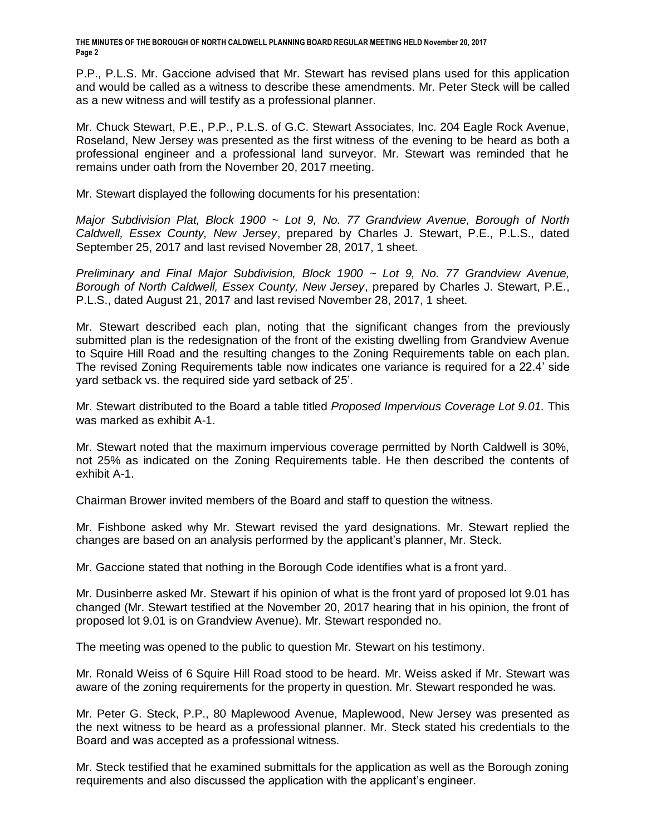P.P., P.L.S. Mr. Gaccione advised that Mr. Stewart has revised plans used for this application and would be called as a witness to describe these amendments. Mr. Peter Steck will be called as a new witness and will testify as a professional planner.

Mr. Chuck Stewart, P.E., P.P., P.L.S. of G.C. Stewart Associates, Inc. 204 Eagle Rock Avenue, Roseland, New Jersey was presented as the first witness of the evening to be heard as both a professional engineer and a professional land surveyor. Mr. Stewart was reminded that he remains under oath from the November 20, 2017 meeting.

Mr. Stewart displayed the following documents for his presentation:

*Major Subdivision Plat, Block 1900 ~ Lot 9, No. 77 Grandview Avenue, Borough of North Caldwell, Essex County, New Jersey*, prepared by Charles J. Stewart, P.E., P.L.S., dated September 25, 2017 and last revised November 28, 2017, 1 sheet.

*Preliminary and Final Major Subdivision, Block 1900 ~ Lot 9, No. 77 Grandview Avenue, Borough of North Caldwell, Essex County, New Jersey*, prepared by Charles J. Stewart, P.E., P.L.S., dated August 21, 2017 and last revised November 28, 2017, 1 sheet.

Mr. Stewart described each plan, noting that the significant changes from the previously submitted plan is the redesignation of the front of the existing dwelling from Grandview Avenue to Squire Hill Road and the resulting changes to the Zoning Requirements table on each plan. The revised Zoning Requirements table now indicates one variance is required for a 22.4' side yard setback vs. the required side yard setback of 25'.

Mr. Stewart distributed to the Board a table titled *Proposed Impervious Coverage Lot 9.01.* This was marked as exhibit A-1.

Mr. Stewart noted that the maximum impervious coverage permitted by North Caldwell is 30%, not 25% as indicated on the Zoning Requirements table. He then described the contents of exhibit A-1.

Chairman Brower invited members of the Board and staff to question the witness.

Mr. Fishbone asked why Mr. Stewart revised the yard designations. Mr. Stewart replied the changes are based on an analysis performed by the applicant's planner, Mr. Steck.

Mr. Gaccione stated that nothing in the Borough Code identifies what is a front yard.

Mr. Dusinberre asked Mr. Stewart if his opinion of what is the front yard of proposed lot 9.01 has changed (Mr. Stewart testified at the November 20, 2017 hearing that in his opinion, the front of proposed lot 9.01 is on Grandview Avenue). Mr. Stewart responded no.

The meeting was opened to the public to question Mr. Stewart on his testimony.

Mr. Ronald Weiss of 6 Squire Hill Road stood to be heard. Mr. Weiss asked if Mr. Stewart was aware of the zoning requirements for the property in question. Mr. Stewart responded he was.

Mr. Peter G. Steck, P.P., 80 Maplewood Avenue, Maplewood, New Jersey was presented as the next witness to be heard as a professional planner. Mr. Steck stated his credentials to the Board and was accepted as a professional witness.

Mr. Steck testified that he examined submittals for the application as well as the Borough zoning requirements and also discussed the application with the applicant's engineer.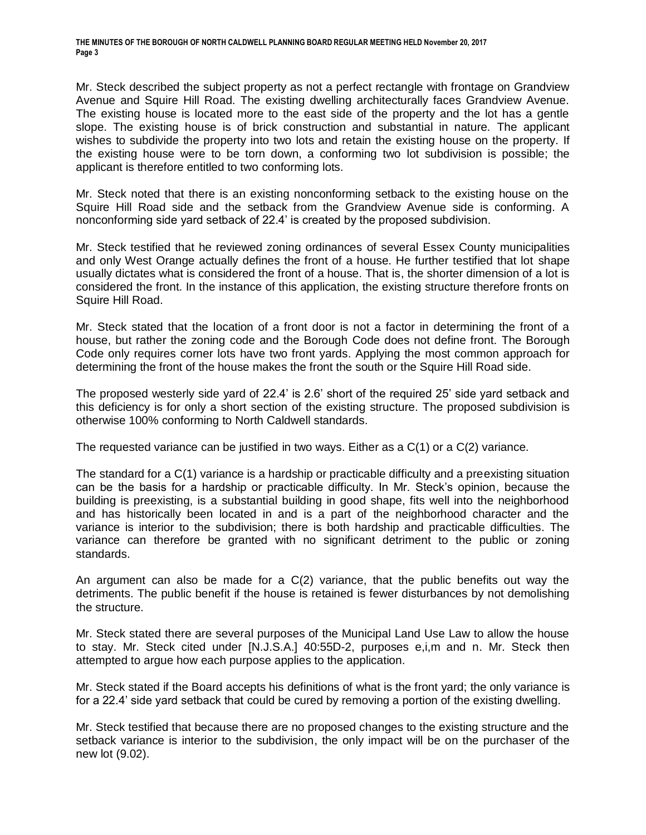Mr. Steck described the subject property as not a perfect rectangle with frontage on Grandview Avenue and Squire Hill Road. The existing dwelling architecturally faces Grandview Avenue. The existing house is located more to the east side of the property and the lot has a gentle slope. The existing house is of brick construction and substantial in nature. The applicant wishes to subdivide the property into two lots and retain the existing house on the property. If the existing house were to be torn down, a conforming two lot subdivision is possible; the applicant is therefore entitled to two conforming lots.

Mr. Steck noted that there is an existing nonconforming setback to the existing house on the Squire Hill Road side and the setback from the Grandview Avenue side is conforming. A nonconforming side yard setback of 22.4' is created by the proposed subdivision.

Mr. Steck testified that he reviewed zoning ordinances of several Essex County municipalities and only West Orange actually defines the front of a house. He further testified that lot shape usually dictates what is considered the front of a house. That is, the shorter dimension of a lot is considered the front. In the instance of this application, the existing structure therefore fronts on Squire Hill Road.

Mr. Steck stated that the location of a front door is not a factor in determining the front of a house, but rather the zoning code and the Borough Code does not define front. The Borough Code only requires corner lots have two front yards. Applying the most common approach for determining the front of the house makes the front the south or the Squire Hill Road side.

The proposed westerly side yard of 22.4' is 2.6' short of the required 25' side yard setback and this deficiency is for only a short section of the existing structure. The proposed subdivision is otherwise 100% conforming to North Caldwell standards.

The requested variance can be justified in two ways. Either as a C(1) or a C(2) variance.

The standard for a C(1) variance is a hardship or practicable difficulty and a preexisting situation can be the basis for a hardship or practicable difficulty. In Mr. Steck's opinion, because the building is preexisting, is a substantial building in good shape, fits well into the neighborhood and has historically been located in and is a part of the neighborhood character and the variance is interior to the subdivision; there is both hardship and practicable difficulties. The variance can therefore be granted with no significant detriment to the public or zoning standards.

An argument can also be made for a C(2) variance, that the public benefits out way the detriments. The public benefit if the house is retained is fewer disturbances by not demolishing the structure.

Mr. Steck stated there are several purposes of the Municipal Land Use Law to allow the house to stay. Mr. Steck cited under [N.J.S.A.] 40:55D-2, purposes e,i,m and n. Mr. Steck then attempted to argue how each purpose applies to the application.

Mr. Steck stated if the Board accepts his definitions of what is the front yard; the only variance is for a 22.4' side yard setback that could be cured by removing a portion of the existing dwelling.

Mr. Steck testified that because there are no proposed changes to the existing structure and the setback variance is interior to the subdivision, the only impact will be on the purchaser of the new lot (9.02).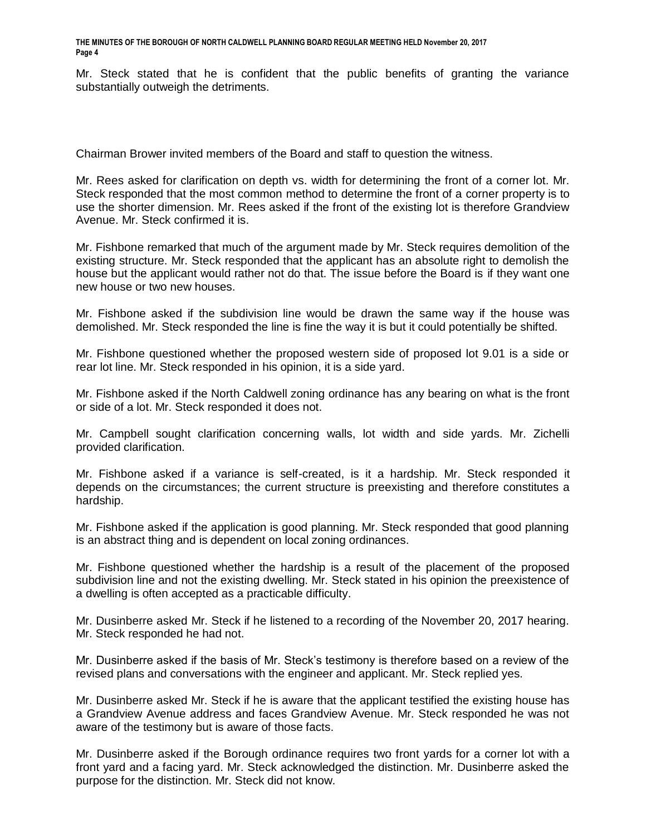Mr. Steck stated that he is confident that the public benefits of granting the variance substantially outweigh the detriments.

Chairman Brower invited members of the Board and staff to question the witness.

Mr. Rees asked for clarification on depth vs. width for determining the front of a corner lot. Mr. Steck responded that the most common method to determine the front of a corner property is to use the shorter dimension. Mr. Rees asked if the front of the existing lot is therefore Grandview Avenue. Mr. Steck confirmed it is.

Mr. Fishbone remarked that much of the argument made by Mr. Steck requires demolition of the existing structure. Mr. Steck responded that the applicant has an absolute right to demolish the house but the applicant would rather not do that. The issue before the Board is if they want one new house or two new houses.

Mr. Fishbone asked if the subdivision line would be drawn the same way if the house was demolished. Mr. Steck responded the line is fine the way it is but it could potentially be shifted.

Mr. Fishbone questioned whether the proposed western side of proposed lot 9.01 is a side or rear lot line. Mr. Steck responded in his opinion, it is a side yard.

Mr. Fishbone asked if the North Caldwell zoning ordinance has any bearing on what is the front or side of a lot. Mr. Steck responded it does not.

Mr. Campbell sought clarification concerning walls, lot width and side yards. Mr. Zichelli provided clarification.

Mr. Fishbone asked if a variance is self-created, is it a hardship. Mr. Steck responded it depends on the circumstances; the current structure is preexisting and therefore constitutes a hardship.

Mr. Fishbone asked if the application is good planning. Mr. Steck responded that good planning is an abstract thing and is dependent on local zoning ordinances.

Mr. Fishbone questioned whether the hardship is a result of the placement of the proposed subdivision line and not the existing dwelling. Mr. Steck stated in his opinion the preexistence of a dwelling is often accepted as a practicable difficulty.

Mr. Dusinberre asked Mr. Steck if he listened to a recording of the November 20, 2017 hearing. Mr. Steck responded he had not.

Mr. Dusinberre asked if the basis of Mr. Steck's testimony is therefore based on a review of the revised plans and conversations with the engineer and applicant. Mr. Steck replied yes.

Mr. Dusinberre asked Mr. Steck if he is aware that the applicant testified the existing house has a Grandview Avenue address and faces Grandview Avenue. Mr. Steck responded he was not aware of the testimony but is aware of those facts.

Mr. Dusinberre asked if the Borough ordinance requires two front yards for a corner lot with a front yard and a facing yard. Mr. Steck acknowledged the distinction. Mr. Dusinberre asked the purpose for the distinction. Mr. Steck did not know.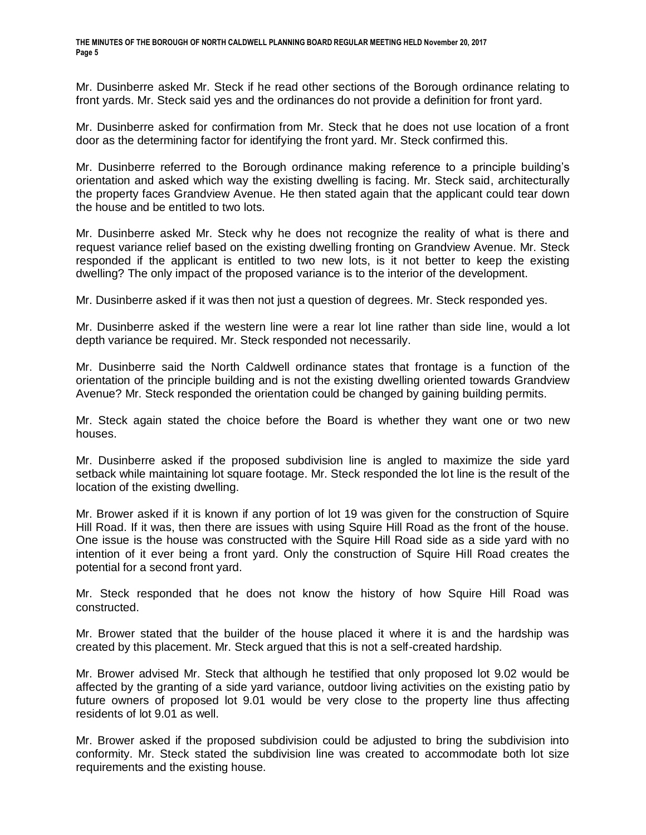Mr. Dusinberre asked Mr. Steck if he read other sections of the Borough ordinance relating to front yards. Mr. Steck said yes and the ordinances do not provide a definition for front yard.

Mr. Dusinberre asked for confirmation from Mr. Steck that he does not use location of a front door as the determining factor for identifying the front yard. Mr. Steck confirmed this.

Mr. Dusinberre referred to the Borough ordinance making reference to a principle building's orientation and asked which way the existing dwelling is facing. Mr. Steck said, architecturally the property faces Grandview Avenue. He then stated again that the applicant could tear down the house and be entitled to two lots.

Mr. Dusinberre asked Mr. Steck why he does not recognize the reality of what is there and request variance relief based on the existing dwelling fronting on Grandview Avenue. Mr. Steck responded if the applicant is entitled to two new lots, is it not better to keep the existing dwelling? The only impact of the proposed variance is to the interior of the development.

Mr. Dusinberre asked if it was then not just a question of degrees. Mr. Steck responded yes.

Mr. Dusinberre asked if the western line were a rear lot line rather than side line, would a lot depth variance be required. Mr. Steck responded not necessarily.

Mr. Dusinberre said the North Caldwell ordinance states that frontage is a function of the orientation of the principle building and is not the existing dwelling oriented towards Grandview Avenue? Mr. Steck responded the orientation could be changed by gaining building permits.

Mr. Steck again stated the choice before the Board is whether they want one or two new houses.

Mr. Dusinberre asked if the proposed subdivision line is angled to maximize the side yard setback while maintaining lot square footage. Mr. Steck responded the lot line is the result of the location of the existing dwelling.

Mr. Brower asked if it is known if any portion of lot 19 was given for the construction of Squire Hill Road. If it was, then there are issues with using Squire Hill Road as the front of the house. One issue is the house was constructed with the Squire Hill Road side as a side yard with no intention of it ever being a front yard. Only the construction of Squire Hill Road creates the potential for a second front yard.

Mr. Steck responded that he does not know the history of how Squire Hill Road was constructed.

Mr. Brower stated that the builder of the house placed it where it is and the hardship was created by this placement. Mr. Steck argued that this is not a self-created hardship.

Mr. Brower advised Mr. Steck that although he testified that only proposed lot 9.02 would be affected by the granting of a side yard variance, outdoor living activities on the existing patio by future owners of proposed lot 9.01 would be very close to the property line thus affecting residents of lot 9.01 as well.

Mr. Brower asked if the proposed subdivision could be adjusted to bring the subdivision into conformity. Mr. Steck stated the subdivision line was created to accommodate both lot size requirements and the existing house.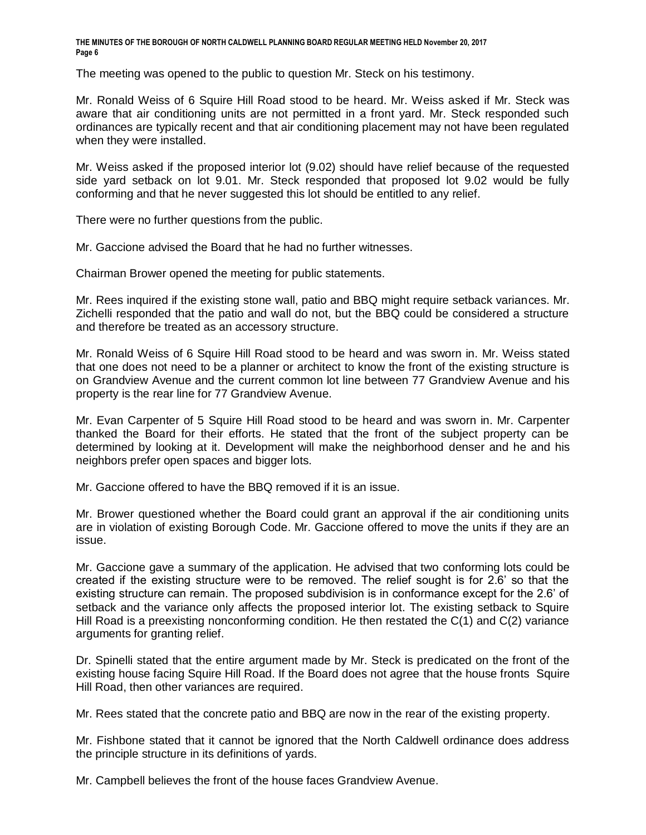The meeting was opened to the public to question Mr. Steck on his testimony.

Mr. Ronald Weiss of 6 Squire Hill Road stood to be heard. Mr. Weiss asked if Mr. Steck was aware that air conditioning units are not permitted in a front yard. Mr. Steck responded such ordinances are typically recent and that air conditioning placement may not have been regulated when they were installed.

Mr. Weiss asked if the proposed interior lot (9.02) should have relief because of the requested side yard setback on lot 9.01. Mr. Steck responded that proposed lot 9.02 would be fully conforming and that he never suggested this lot should be entitled to any relief.

There were no further questions from the public.

Mr. Gaccione advised the Board that he had no further witnesses.

Chairman Brower opened the meeting for public statements.

Mr. Rees inquired if the existing stone wall, patio and BBQ might require setback variances. Mr. Zichelli responded that the patio and wall do not, but the BBQ could be considered a structure and therefore be treated as an accessory structure.

Mr. Ronald Weiss of 6 Squire Hill Road stood to be heard and was sworn in. Mr. Weiss stated that one does not need to be a planner or architect to know the front of the existing structure is on Grandview Avenue and the current common lot line between 77 Grandview Avenue and his property is the rear line for 77 Grandview Avenue.

Mr. Evan Carpenter of 5 Squire Hill Road stood to be heard and was sworn in. Mr. Carpenter thanked the Board for their efforts. He stated that the front of the subject property can be determined by looking at it. Development will make the neighborhood denser and he and his neighbors prefer open spaces and bigger lots.

Mr. Gaccione offered to have the BBQ removed if it is an issue.

Mr. Brower questioned whether the Board could grant an approval if the air conditioning units are in violation of existing Borough Code. Mr. Gaccione offered to move the units if they are an issue.

Mr. Gaccione gave a summary of the application. He advised that two conforming lots could be created if the existing structure were to be removed. The relief sought is for 2.6' so that the existing structure can remain. The proposed subdivision is in conformance except for the 2.6' of setback and the variance only affects the proposed interior lot. The existing setback to Squire Hill Road is a preexisting nonconforming condition. He then restated the C(1) and C(2) variance arguments for granting relief.

Dr. Spinelli stated that the entire argument made by Mr. Steck is predicated on the front of the existing house facing Squire Hill Road. If the Board does not agree that the house fronts Squire Hill Road, then other variances are required.

Mr. Rees stated that the concrete patio and BBQ are now in the rear of the existing property.

Mr. Fishbone stated that it cannot be ignored that the North Caldwell ordinance does address the principle structure in its definitions of yards.

Mr. Campbell believes the front of the house faces Grandview Avenue.